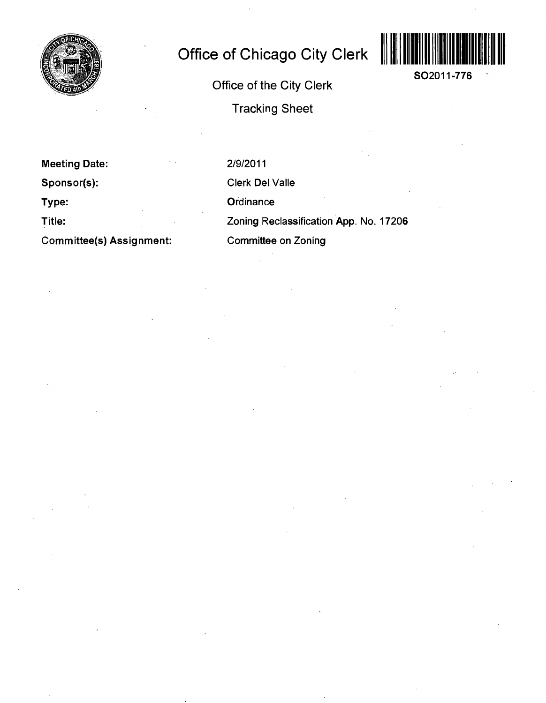

## **Office of Chicago City Clerk**



**SO2011-776** 

**Office of the City Clerk** 

**Tracking Sheet** 

**Meeting Date: Sponsor(s): Type: Title: Committee(s) Assignment:**  2/9/2011 Clerk Del Valle **Ordinance** Zoning Reclassification App. No. 17206 Committee on Zoning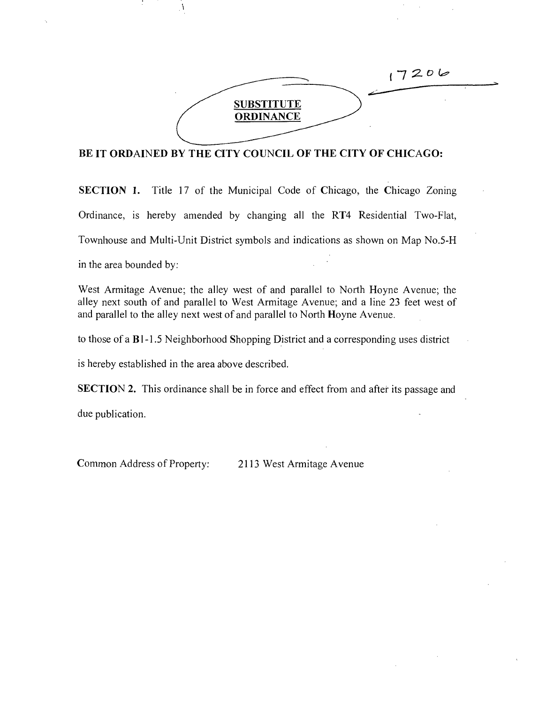

## **BE IT ORDAINED BY THE CITY COUNCIL OF THE CITY OF CHICAGO:**

SECTION 1. Title 17 of the Municipal Code of Chicago, the Chicago Zoning Ordinance, is hereby amended by changing all the RT4 Residential Two-Flat, Townhouse and Multi-Unit District symbols and indications as shown on Map No.5-H

in the area bounded by:

West Armitage Avenue; the alley west of and parallel to North Hoyne Avenue; the alley next south of and parallel to West Armitage Avenue; and a line 23 feet west of and parallel to the alley next west of and parallel to North Hoyne Avenue.

to those of a Bl-1.5 Neighborhood Shopping District and a corresponding uses district

is hereby established in the area above described.

A,

SECTION 2. This ordinance shall be in force and effect from and after its passage and

due publication.

Common Address of Property: 2113 West Armitage Avenue